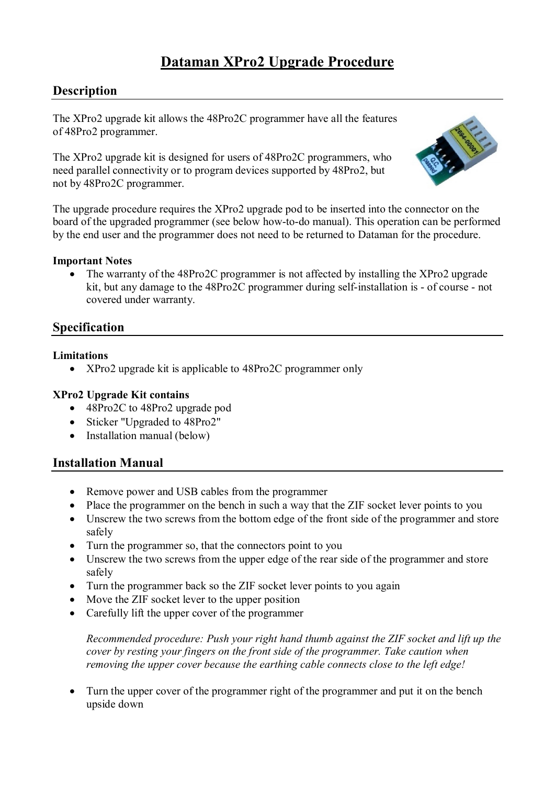# **Dataman XPro2 Upgrade Procedure**

## **Description**

The XPro2 upgrade kit allows the 48Pro2C programmer have all the features of 48Pro2 programmer.

The XPro2 upgrade kit is designed for users of 48Pro2C programmers, who need parallel connectivity or to program devices supported by 48Pro2, but not by 48Pro2C programmer.



The upgrade procedure requires the XPro2 upgrade pod to be inserted into the connector on the board of the upgraded programmer (see below how-to-do manual). This operation can be performed by the end user and the programmer does not need to be returned to Dataman for the procedure.

#### **Important Notes**

• The warranty of the 48Pro2C programmer is not affected by installing the XPro2 upgrade kit, but any damage to the 48Pro2C programmer during self-installation is - of course - not covered under warranty.

### **Specification**

#### **Limitations**

• XPro2 upgrade kit is applicable to 48Pro2C programmer only

#### **XPro2 Upgrade Kit contains**

- 48Pro2C to 48Pro2 upgrade pod
- Sticker "Upgraded to 48Pro2"
- Installation manual (below)

## **Installation Manual**

- Remove power and USB cables from the programmer
- Place the programmer on the bench in such a way that the ZIF socket lever points to you
- Unscrew the two screws from the bottom edge of the front side of the programmer and store safely
- Turn the programmer so, that the connectors point to you
- Unscrew the two screws from the upper edge of the rear side of the programmer and store safely
- Turn the programmer back so the ZIF socket lever points to you again
- Move the ZIF socket lever to the upper position
- Carefully lift the upper cover of the programmer

*Recommended procedure: Push your right hand thumb against the ZIF socket and lift up the cover by resting your fingers on the front side of the programmer. Take caution when removing the upper cover because the earthing cable connects close to the left edge!*

 Turn the upper cover of the programmer right of the programmer and put it on the bench upside down